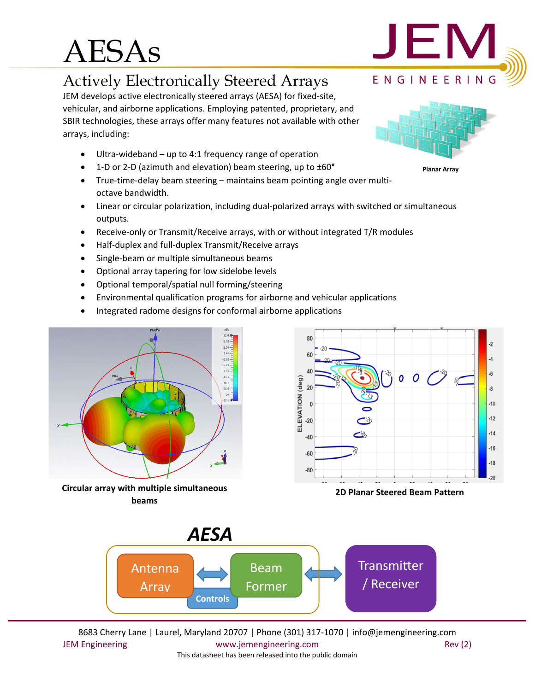# AESAs

### Actively Electronically Steered Arrays

JEM develops active electronically steered arrays (AESA) for fixed‐site, vehicular, and airborne applications. Employing patented, proprietary, and SBIR technologies, these arrays offer many features not available with other arrays, including:

- Ultra‐wideband up to 4:1 frequency range of operation
- 1‐D or 2‐D (azimuth and elevation) beam steering, up to ±60**°**
- True-time-delay beam steering maintains beam pointing angle over multioctave bandwidth.
- Linear or circular polarization, including dual‐polarized arrays with switched or simultaneous outputs.
- Receive-only or Transmit/Receive arrays, with or without integrated T/R modules
- Half-duplex and full-duplex Transmit/Receive arrays
- Single-beam or multiple simultaneous beams
- Optional array tapering for low sidelobe levels
- Optional temporal/spatial null forming/steering
- Environmental qualification programs for airborne and vehicular applications
- Integrated radome designs for conformal airborne applications



**Circular array with multiple simultaneous beams**



**2D Planar Steered Beam Pattern**